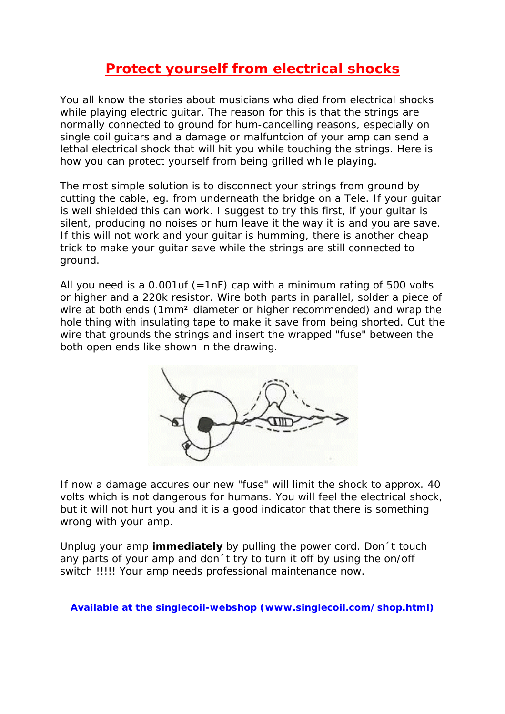# **Protect yourself from electrical shocks**

You all know the stories about musicians who died from electrical shocks while playing electric guitar. The reason for this is that the strings are normally connected to ground for hum-cancelling reasons, especially on single coil guitars and a damage or malfuntcion of your amp can send a lethal electrical shock that will hit you while touching the strings. Here is how you can protect yourself from being grilled while playing.

The most simple solution is to disconnect your strings from ground by cutting the cable, eg. from underneath the bridge on a Tele. If your guitar is well shielded this can work. I suggest to try this first, if your guitar is silent, producing no noises or hum leave it the way it is and you are save. If this will not work and your guitar is humming, there is another cheap trick to make your guitar save while the strings are still connected to ground.

All you need is a  $0.001$ uf (=1nF) cap with a minimum rating of 500 volts or higher and a 220k resistor. Wire both parts in parallel, solder a piece of wire at both ends (1mm² diameter or higher recommended) and wrap the hole thing with insulating tape to make it save from being shorted. Cut the wire that grounds the strings and insert the wrapped "fuse" between the both open ends like shown in the drawing.



If now a damage accures our new "fuse" will limit the shock to approx. 40 volts which is not dangerous for humans. You will feel the electrical shock, but it will not hurt you and it is a good indicator that there is something wrong with your amp.

Unplug your amp **immediately** by pulling the power cord. Don´t touch any parts of your amp and don´t try to turn it off by using the on/off switch !!!!! Your amp needs professional maintenance now.

### **Available at the singlecoil-webshop (www.singlecoil.com/shop.html)**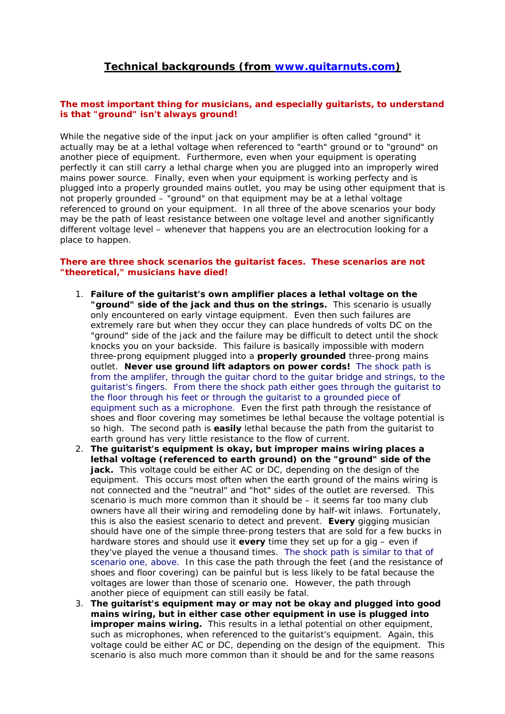## **Technical backgrounds (from www.guitarnuts.com)**

### **The most important thing for musicians, and especially guitarists, to understand is that "ground" isn't always ground!**

While the negative side of the input jack on your amplifier is often called "ground" it actually may be at a lethal voltage when referenced to "earth" ground or to "ground" on another piece of equipment. Furthermore, even when your equipment is operating perfectly it can still carry a lethal charge when you are plugged into an improperly wired mains power source. Finally, even when your equipment is working perfecty and is plugged into a properly grounded mains outlet, you may be using other equipment that is not properly grounded – "ground" on that equipment may be at a lethal voltage referenced to ground on your equipment. In all three of the above scenarios your body may be the path of least resistance between one voltage level and another significantly different voltage level – whenever that happens you are an electrocution looking for a place to happen.

#### **There are three shock scenarios the guitarist faces. These scenarios are not "theoretical," musicians have died!**

- 1. *Failure of the guitarist's own amplifier places a lethal voltage on the "ground" side of the jack and thus on the strings.* This scenario is usually only encountered on early vintage equipment. Even then such failures are extremely rare but when they occur they can place hundreds of volts DC on the "ground" side of the jack and the failure may be difficult to detect until the shock knocks you on your backside. This failure is basically impossible with modern three-prong equipment plugged into a **properly grounded** three-prong mains outlet. **Never use ground lift adaptors on power cords!** The shock path is from the amplifer, through the guitar chord to the guitar bridge and strings, to the guitarist's fingers. From there the shock path either goes through the guitarist to the floor through his feet or through the guitarist to a grounded piece of equipment such as a microphone. Even the first path through the resistance of shoes and floor covering may sometimes be lethal because the voltage potential is so high. The second path is **easily** lethal because the path from the guitarist to earth ground has very little resistance to the flow of current.
- 2. *The guitarist's equipment is okay, but improper mains wiring places a lethal voltage (referenced to earth ground) on the "ground" side of the jack.* This voltage could be either AC or DC, depending on the design of the equipment. This occurs most often when the earth ground of the mains wiring is not connected and the "neutral" and "hot" sides of the outlet are reversed. This scenario is much more common than it should be – it seems far too many club owners have all their wiring and remodeling done by half-wit inlaws. Fortunately, this is also the easiest scenario to detect and prevent. **Every** gigging musician should have one of the simple three-prong testers that are sold for a few bucks in hardware stores and should use it **every** time they set up for a gig – even if they've played the venue a thousand times. The shock path is similar to that of scenario one, above. In this case the path through the feet (and the resistance of shoes and floor covering) can be painful but is less likely to be fatal because the voltages are lower than those of scenario one. However, the path through another piece of equipment can still easily be fatal.
- 3. *The guitarist's equipment may or may not be okay and plugged into good mains wiring, but in either case other equipment in use is plugged into improper mains wiring.* This results in a lethal potential on other equipment, such as microphones, when referenced to the guitarist's equipment. Again, this voltage could be either AC or DC, depending on the design of the equipment. This scenario is also much more common than it should be and for the same reasons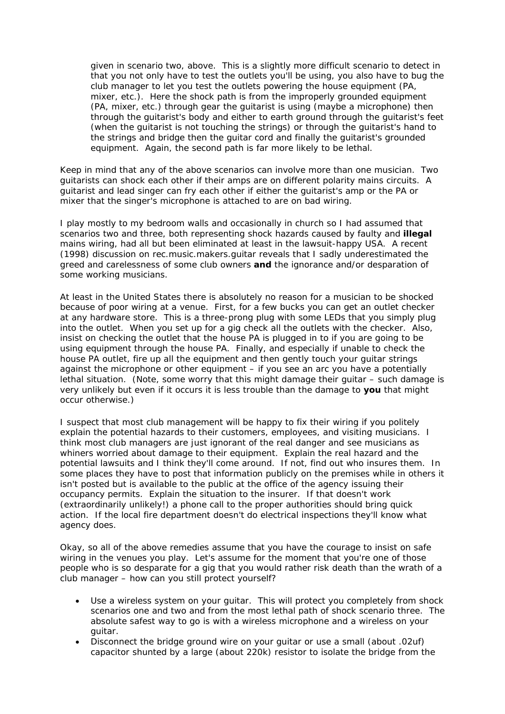given in scenario two, above. This is a slightly more difficult scenario to detect in that you not only have to test the outlets you'll be using, you also have to bug the club manager to let you test the outlets powering the house equipment (PA, mixer, etc.). Here the shock path is from the improperly grounded equipment (PA, mixer, etc.) through gear the guitarist is using (maybe a microphone) then through the guitarist's body and either to earth ground through the guitarist's feet (when the guitarist is not touching the strings) or through the guitarist's hand to the strings and bridge then the guitar cord and finally the guitarist's grounded equipment. Again, the second path is far more likely to be lethal.

Keep in mind that any of the above scenarios can involve more than one musician. Two guitarists can shock each other if their amps are on different polarity mains circuits. A guitarist and lead singer can fry each other if either the guitarist's amp or the PA or mixer that the singer's microphone is attached to are on bad wiring.

I play mostly to my bedroom walls and occasionally in church so I had assumed that scenarios two and three, both representing shock hazards caused by faulty and **illegal** mains wiring, had all but been eliminated at least in the lawsuit-happy USA. A recent (1998) discussion on rec.music.makers.guitar reveals that I sadly underestimated the greed and carelessness of some club owners **and** the ignorance and/or desparation of some working musicians.

At least in the United States there is absolutely no reason for a musician to be shocked because of poor wiring at a venue. First, for a few bucks you can get an outlet checker at any hardware store. This is a three-prong plug with some LEDs that you simply plug into the outlet. When you set up for a gig check all the outlets with the checker. Also, insist on checking the outlet that the house PA is plugged in to if you are going to be using equipment through the house PA. Finally, and especially if unable to check the house PA outlet, fire up all the equipment and then gently touch your guitar strings against the microphone or other equipment – if you see an arc you have a potentially lethal situation. (Note, some worry that this might damage their guitar – such damage is very unlikely but even if it occurs it is less trouble than the damage to **you** that might occur otherwise.)

I suspect that most club management will be happy to fix their wiring if you politely explain the potential hazards to their customers, employees, and visiting musicians. I think most club managers are just ignorant of the real danger and see musicians as whiners worried about damage to their equipment. Explain the real hazard and the potential lawsuits and I think they'll come around. If not, find out who insures them. In some places they have to post that information publicly on the premises while in others it isn't posted but is available to the public at the office of the agency issuing their occupancy permits. Explain the situation to the insurer. If that doesn't work (extraordinarily unlikely!) a phone call to the proper authorities should bring quick action. If the local fire department doesn't do electrical inspections they'll know what agency does.

Okay, so all of the above remedies assume that you have the courage to insist on safe wiring in the venues you play. Let's assume for the moment that you're one of those people who is so desparate for a gig that you would rather risk death than the wrath of a club manager – how can you still protect yourself?

- Use a wireless system on your guitar. This will protect you completely from shock scenarios one and two and from the most lethal path of shock scenario three. The absolute safest way to go is with a wireless microphone and a wireless on your guitar.
- Disconnect the bridge ground wire on your guitar or use a small (about .02uf) capacitor shunted by a large (about 220k) resistor to isolate the bridge from the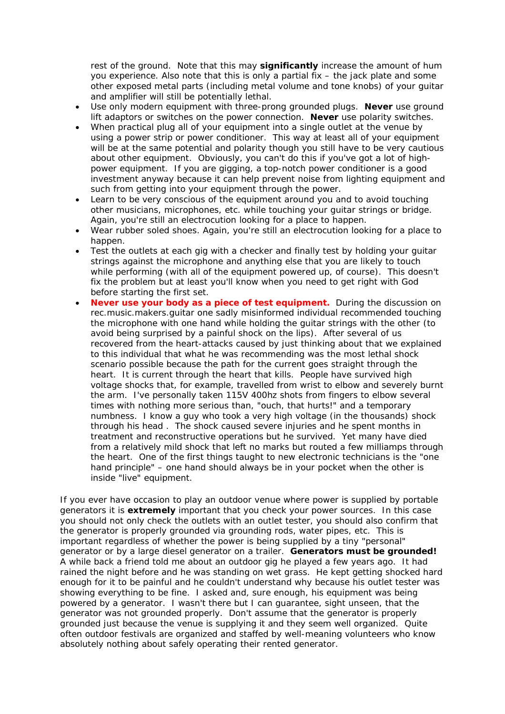rest of the ground. Note that this may **significantly** increase the amount of hum you experience. Also note that this is only a partial fix – the jack plate and some other exposed metal parts (including metal volume and tone knobs) of your guitar and amplifier will still be potentially lethal.

- Use only modern equipment with three-prong grounded plugs. **Never** use ground lift adaptors or switches on the power connection. **Never** use polarity switches.
- When practical plug all of your equipment into a single outlet at the venue by using a power strip or power conditioner. This way at least all of your equipment will be at the same potential and polarity though you still have to be very cautious about other equipment. Obviously, you can't do this if you've got a lot of highpower equipment. If you are gigging, a top-notch power conditioner is a good investment anyway because it can help prevent noise from lighting equipment and such from getting into your equipment through the power.
- Learn to be very conscious of the equipment around you and to avoid touching other musicians, microphones, etc. while touching your guitar strings or bridge. Again, you're still an electrocution looking for a place to happen.
- Wear rubber soled shoes. Again, you're still an electrocution looking for a place to happen.
- Test the outlets at each gig with a checker and finally test by holding your guitar strings against the microphone and anything else that you are likely to touch while performing (with all of the equipment powered up, of course). This doesn't fix the problem but at least you'll know when you need to get right with God before starting the first set.
- **Never use your body as a piece of test equipment.** During the discussion on rec.music.makers.guitar one sadly misinformed individual recommended touching the microphone with one hand while holding the guitar strings with the other (to avoid being surprised by a painful shock on the lips). After several of us recovered from the heart-attacks caused by just thinking about that we explained to this individual that what he was recommending was the most lethal shock scenario possible because the path for the current goes straight through the heart. It is current through the heart that kills. People have survived high voltage shocks that, for example, travelled from wrist to elbow and severely burnt the arm. I've personally taken 115V 400hz shots from fingers to elbow several times with nothing more serious than, "ouch, that hurts!" and a temporary numbness. I know a guy who took a very high voltage (in the thousands) shock through his head . The shock caused severe injuries and he spent months in treatment and reconstructive operations but he survived. Yet many have died from a relatively mild shock that left no marks but routed a few milliamps through the heart. One of the first things taught to new electronic technicians is the "one hand principle" – one hand should always be in your pocket when the other is inside "live" equipment.

If you ever have occasion to play an outdoor venue where power is supplied by portable generators it is **extremely** important that you check your power sources. In this case you should not only check the outlets with an outlet tester, you should also confirm that the generator is properly grounded via grounding rods, water pipes, etc. This is important regardless of whether the power is being supplied by a tiny "personal" generator or by a large diesel generator on a trailer. **Generators must be grounded!** A while back a friend told me about an outdoor gig he played a few years ago. It had rained the night before and he was standing on wet grass. He kept getting shocked hard enough for it to be painful and he couldn't understand why because his outlet tester was showing everything to be fine. I asked and, sure enough, his equipment was being powered by a generator. I wasn't there but I can guarantee, sight unseen, that the generator was not grounded properly. Don't assume that the generator is properly grounded just because the venue is supplying it and they seem well organized. Quite often outdoor festivals are organized and staffed by well-meaning volunteers who know absolutely nothing about safely operating their rented generator.